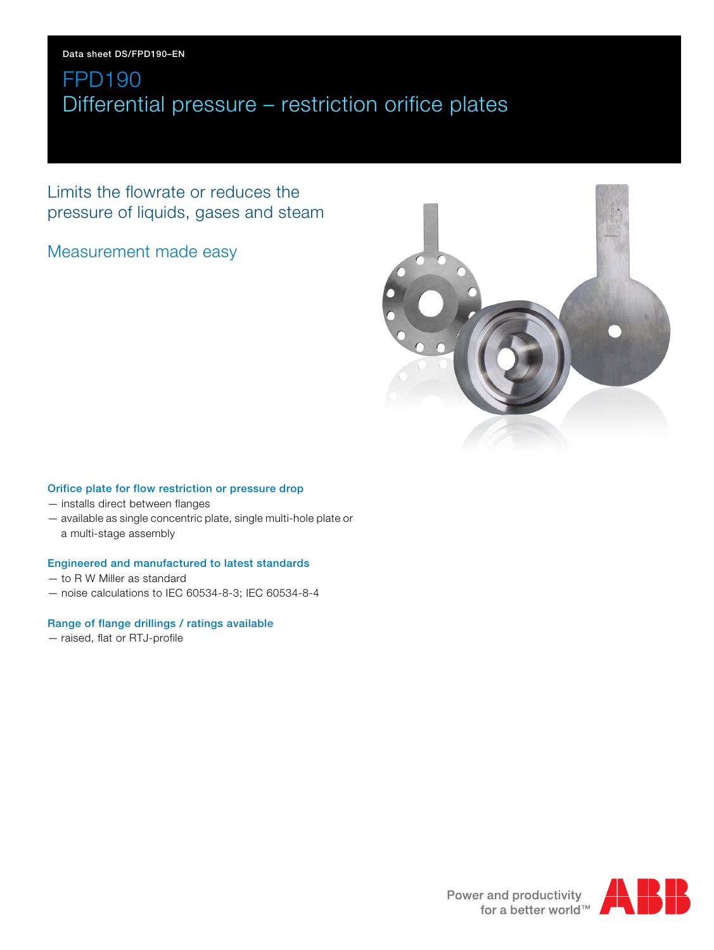Limits the flowrate or reduces the pressure of liquids, gases and steam

Measurement made easy



#### Orifice plate for flow restriction or pressure drop

- installs direct between flanges
- available as single concentric plate, single multi-hole plate or a multi-stage assembly

#### Engineered and manufactured to latest standards

- to R W Miller as standard
- noise calculations to IEC 60534-8-3; IEC 60534-8-4

#### Range of flange drillings / ratings available

— raised, flat or RTJ-profile

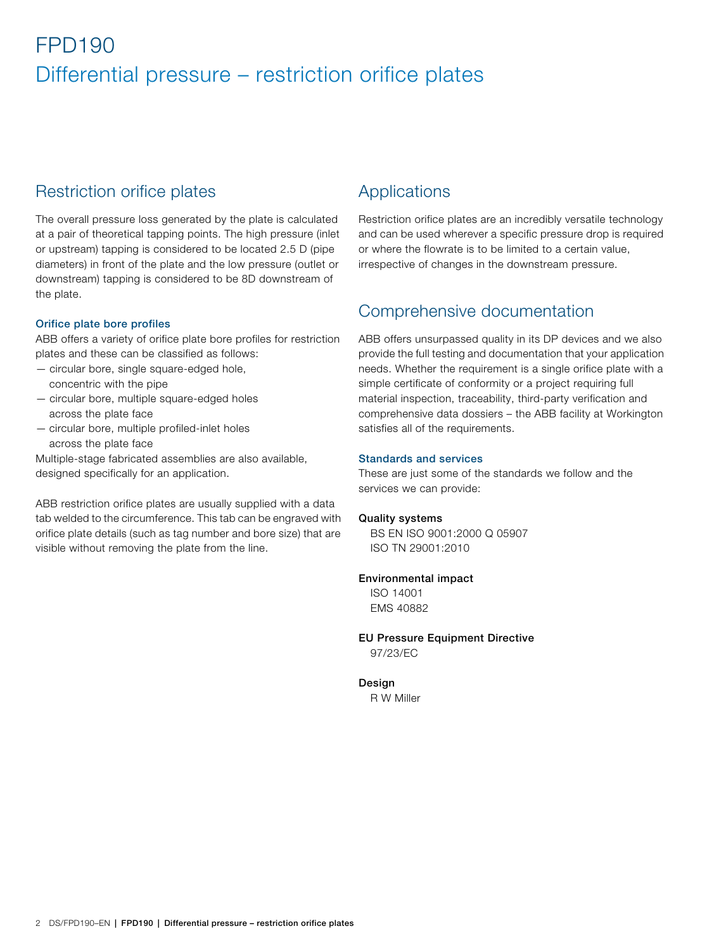## Restriction orifice plates

The overall pressure loss generated by the plate is calculated at a pair of theoretical tapping points. The high pressure (inlet or upstream) tapping is considered to be located 2.5 D (pipe diameters) in front of the plate and the low pressure (outlet or downstream) tapping is considered to be 8D downstream of the plate.

#### Orifice plate bore profiles

ABB offers a variety of orifice plate bore profiles for restriction plates and these can be classified as follows:

— circular bore, single square-edged hole,

- concentric with the pipe
- circular bore, multiple square-edged holes across the plate face
- circular bore, multiple profiled-inlet holes across the plate face

Multiple-stage fabricated assemblies are also available, designed specifically for an application.

ABB restriction orifice plates are usually supplied with a data tab welded to the circumference. This tab can be engraved with orifice plate details (such as tag number and bore size) that are visible without removing the plate from the line.

## Applications

Restriction orifice plates are an incredibly versatile technology and can be used wherever a specific pressure drop is required or where the flowrate is to be limited to a certain value, irrespective of changes in the downstream pressure.

## Comprehensive documentation

ABB offers unsurpassed quality in its DP devices and we also provide the full testing and documentation that your application needs. Whether the requirement is a single orifice plate with a simple certificate of conformity or a project requiring full material inspection, traceability, third-party verification and comprehensive data dossiers – the ABB facility at Workington satisfies all of the requirements.

#### Standards and services

These are just some of the standards we follow and the services we can provide:

#### Quality systems

BS EN ISO 9001:2000 Q 05907 ISO TN 29001:2010

#### Environmental impact

ISO 14001 EMS 40882

### EU Pressure Equipment Directive

97/23/EC

#### Design

R W Miller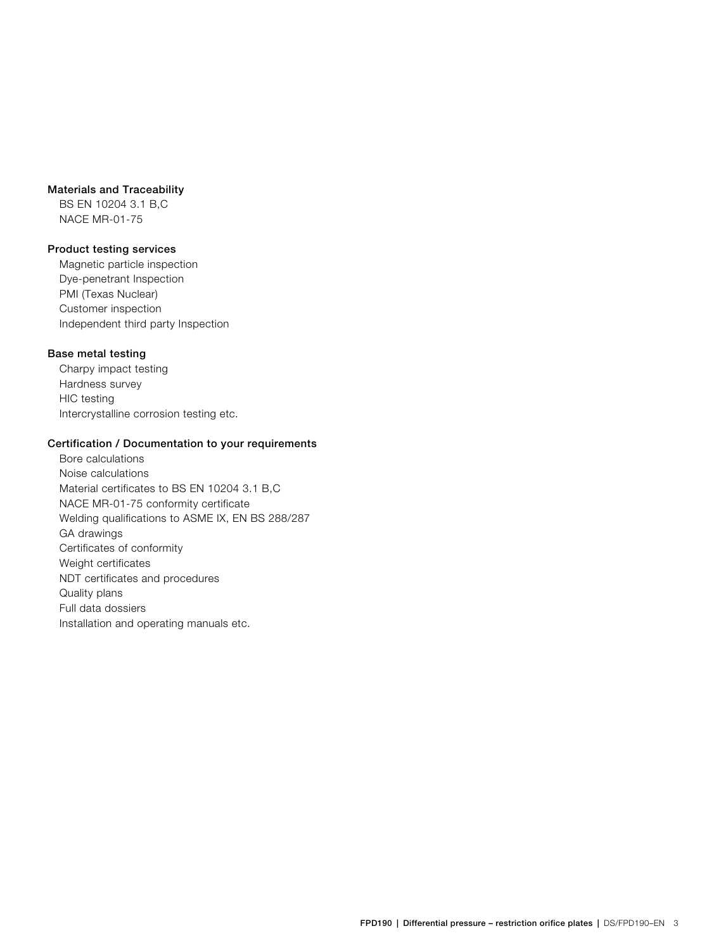#### Materials and Traceability

BS EN 10204 3.1 B,C NACE MR-01-75

#### Product testing services

Magnetic particle inspection Dye-penetrant Inspection PMI (Texas Nuclear) Customer inspection Independent third party Inspection

#### Base metal testing

Charpy impact testing Hardness survey HIC testing Intercrystalline corrosion testing etc.

#### Certification / Documentation to your requirements

Bore calculations Noise calculations Material certificates to BS EN 10204 3.1 B,C NACE MR-01-75 conformity certificate Welding qualifications to ASME IX, EN BS 288/287 GA drawings Certificates of conformity Weight certificates NDT certificates and procedures Quality plans Full data dossiers Installation and operating manuals etc.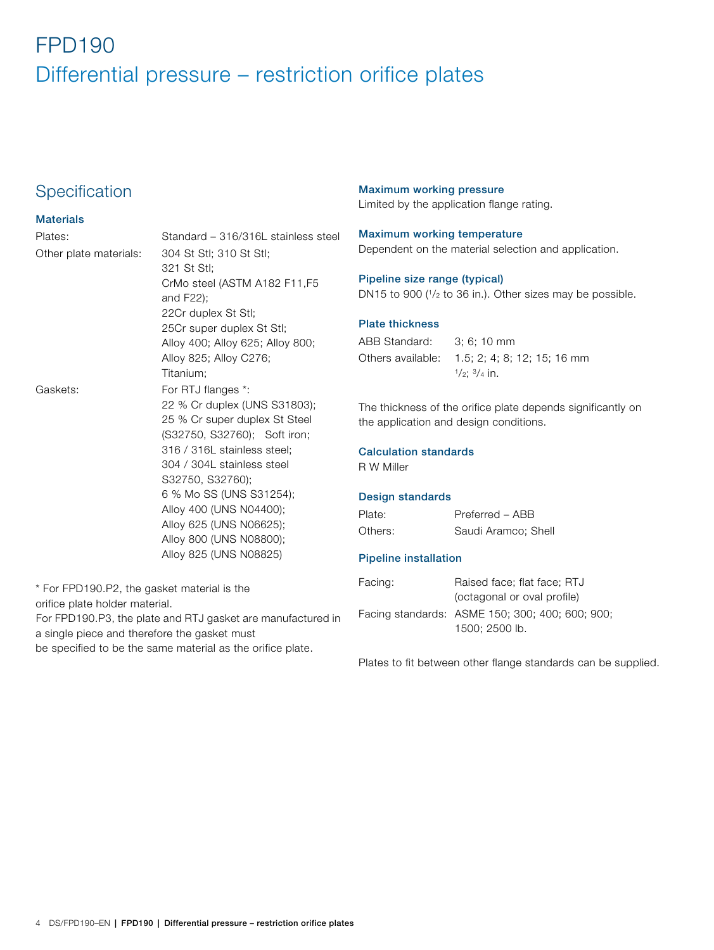## **Specification**

### **Materials**

| Plates:                | Standard - 316/316L stainless steel                                                                                                                                                                                                                                                                                                        |
|------------------------|--------------------------------------------------------------------------------------------------------------------------------------------------------------------------------------------------------------------------------------------------------------------------------------------------------------------------------------------|
| Other plate materials: | 304 St Stl; 310 St Stl;<br>321 St Stl:<br>CrMo steel (ASTM A182 F11, F5<br>and F22);<br>22Cr duplex St Stl;<br>25Cr super duplex St Stl;<br>Alloy 400; Alloy 625; Alloy 800;<br>Alloy 825; Alloy C276;<br>Titanium;                                                                                                                        |
| Gaskets:               | For RTJ flanges *:<br>22 % Cr duplex (UNS S31803);<br>25 % Cr super duplex St Steel<br>(S32750, S32760); Soft iron;<br>316 / 316L stainless steel;<br>304 / 304L stainless steel<br>S32750, S32760);<br>6 % Mo SS (UNS S31254);<br>Alloy 400 (UNS N04400);<br>Alloy 625 (UNS N06625);<br>Alloy 800 (UNS N08800);<br>Alloy 825 (UNS N08825) |

\* For FPD190.P2, the gasket material is the orifice plate holder material.

For FPD190.P3, the plate and RTJ gasket are manufactured in a single piece and therefore the gasket must

be specified to be the same material as the orifice plate.

Maximum working pressure Limited by the application flange rating.

#### Maximum working temperature Dependent on the material selection and application.

### Pipeline size range (typical)

DN15 to 900 ( $1/2$  to 36 in.). Other sizes may be possible.

#### Plate thickness

| ABB Standard:     | $3: 6: 10 \, \text{mm}$           |
|-------------------|-----------------------------------|
| Others available: | 1.5; 2; 4; 8; 12; 15; 16 mm       |
|                   | $\frac{1}{2}$ : $\frac{3}{4}$ in. |

The thickness of the orifice plate depends significantly on the application and design conditions.

### Calculation standards

R W Miller

#### Design standards

Plate: Preferred – ABB Others: Saudi Aramco; Shell

#### Pipeline installation

| Facing: | Raised face; flat face; RTJ                     |  |  |  |  |  |  |
|---------|-------------------------------------------------|--|--|--|--|--|--|
|         | (octagonal or oval profile)                     |  |  |  |  |  |  |
|         | Facing standards: ASME 150; 300; 400; 600; 900; |  |  |  |  |  |  |
|         | 1500: 2500 lb.                                  |  |  |  |  |  |  |

Plates to fit between other flange standards can be supplied.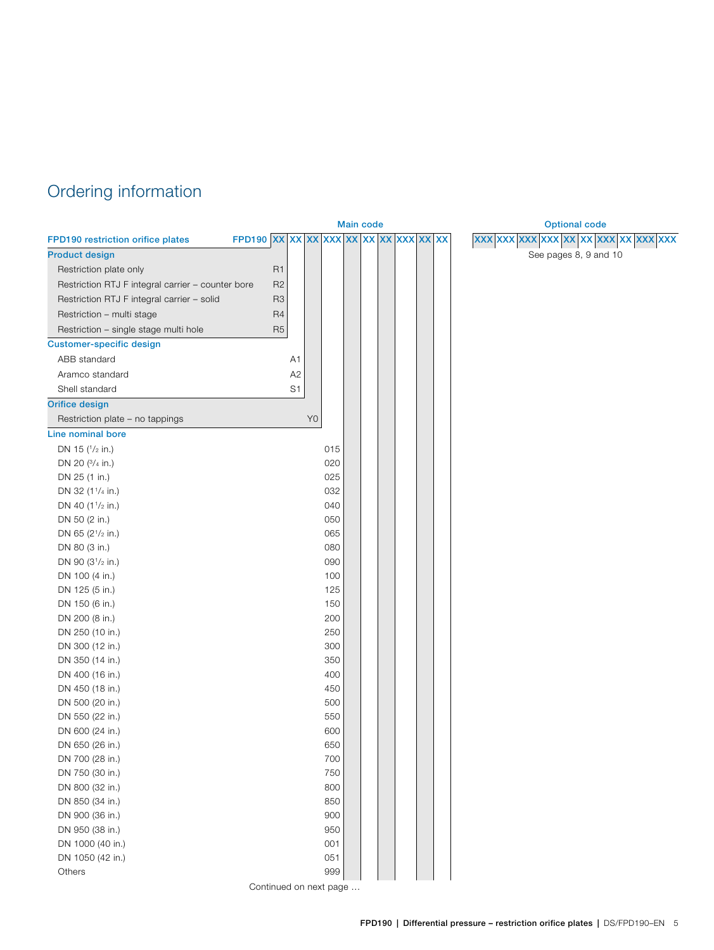## Ordering information

<span id="page-4-0"></span>

|                                                   |                                         |                |                | <b>Main code</b> |  |  | <b>Optional code</b>                  |
|---------------------------------------------------|-----------------------------------------|----------------|----------------|------------------|--|--|---------------------------------------|
| FPD190 restriction orifice plates                 | FPD190 XX XX XX XX XX XX XX XX XX XX XX |                |                |                  |  |  | xxx xxx xxx xxx xx xx xx xx xx xx xxx |
| <b>Product design</b>                             |                                         |                |                |                  |  |  | See pages 8, 9 and 10                 |
| Restriction plate only                            | R <sub>1</sub>                          |                |                |                  |  |  |                                       |
| Restriction RTJ F integral carrier - counter bore | R <sub>2</sub>                          |                |                |                  |  |  |                                       |
| Restriction RTJ F integral carrier - solid        | R <sub>3</sub>                          |                |                |                  |  |  |                                       |
| Restriction - multi stage                         | R4                                      |                |                |                  |  |  |                                       |
| Restriction - single stage multi hole             | R <sub>5</sub>                          |                |                |                  |  |  |                                       |
| <b>Customer-specific design</b>                   |                                         |                |                |                  |  |  |                                       |
| ABB standard                                      |                                         | A1             |                |                  |  |  |                                       |
| Aramco standard                                   |                                         | A2             |                |                  |  |  |                                       |
| Shell standard                                    |                                         | S <sub>1</sub> |                |                  |  |  |                                       |
| <b>Orifice design</b>                             |                                         |                |                |                  |  |  |                                       |
| Restriction plate - no tappings                   |                                         |                | Y <sub>0</sub> |                  |  |  |                                       |
| Line nominal bore                                 |                                         |                |                |                  |  |  |                                       |
| DN 15 (1/2 in.)                                   |                                         |                | 015            |                  |  |  |                                       |
| DN 20 (3/4 in.)                                   |                                         |                | 020            |                  |  |  |                                       |
| DN 25 (1 in.)                                     |                                         |                | 025            |                  |  |  |                                       |
| DN 32 (1 <sup>1</sup> / <sub>4</sub> in.)         |                                         |                | 032            |                  |  |  |                                       |
| DN 40 (1 <sup>1</sup> / <sub>2</sub> in.)         |                                         |                | 040            |                  |  |  |                                       |
| DN 50 (2 in.)                                     |                                         |                | 050            |                  |  |  |                                       |
| DN 65 (2 <sup>1</sup> / <sub>2</sub> in.)         |                                         |                | 065            |                  |  |  |                                       |
| DN 80 (3 in.)                                     |                                         |                | 080            |                  |  |  |                                       |
| DN 90 (31/2 in.)                                  |                                         |                | 090            |                  |  |  |                                       |
| DN 100 (4 in.)                                    |                                         |                | 100            |                  |  |  |                                       |
| DN 125 (5 in.)                                    |                                         |                | 125            |                  |  |  |                                       |
| DN 150 (6 in.)                                    |                                         |                | 150            |                  |  |  |                                       |
| DN 200 (8 in.)                                    |                                         |                | 200            |                  |  |  |                                       |
| DN 250 (10 in.)                                   |                                         |                | 250            |                  |  |  |                                       |
| DN 300 (12 in.)                                   |                                         |                | 300            |                  |  |  |                                       |
| DN 350 (14 in.)                                   |                                         |                | 350            |                  |  |  |                                       |
| DN 400 (16 in.)                                   |                                         |                | 400            |                  |  |  |                                       |
| DN 450 (18 in.)                                   |                                         |                | 450            |                  |  |  |                                       |
| DN 500 (20 in.)                                   |                                         |                | 500            |                  |  |  |                                       |
| DN 550 (22 in.)                                   |                                         |                | 550            |                  |  |  |                                       |
| DN 600 (24 in.)                                   |                                         |                | 600            |                  |  |  |                                       |
| DN 650 (26 in.)                                   |                                         |                | 650            |                  |  |  |                                       |
| DN 700 (28 in.)                                   |                                         |                | 700            |                  |  |  |                                       |
| DN 750 (30 in.)                                   |                                         |                | 750            |                  |  |  |                                       |
| DN 800 (32 in.)                                   |                                         |                | 800            |                  |  |  |                                       |
| DN 850 (34 in.)                                   |                                         |                | 850            |                  |  |  |                                       |
| DN 900 (36 in.)                                   |                                         |                | 900            |                  |  |  |                                       |
| DN 950 (38 in.)                                   |                                         |                | 950            |                  |  |  |                                       |
| DN 1000 (40 in.)                                  |                                         |                | 001            |                  |  |  |                                       |
| DN 1050 (42 in.)                                  |                                         |                | 051            |                  |  |  |                                       |
| Others                                            |                                         |                | 999            |                  |  |  |                                       |
|                                                   | Continued on novt nag                   |                |                |                  |  |  |                                       |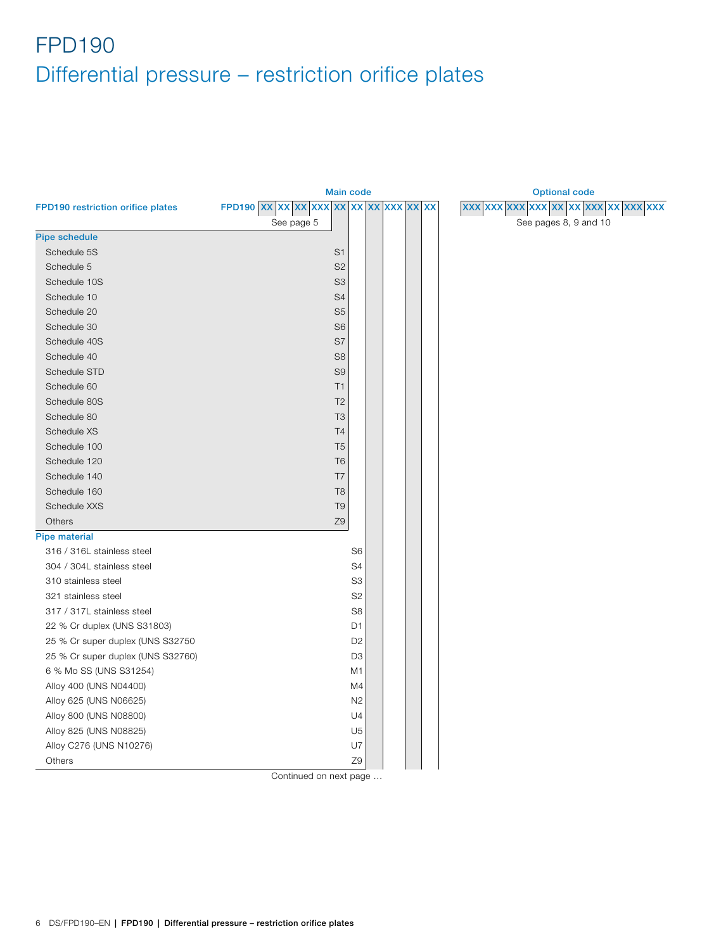<span id="page-5-0"></span>

|                                   | <b>Main code</b>                        |                |  | <b>Optional code</b>                  |  |  |  |  |  |  |  |
|-----------------------------------|-----------------------------------------|----------------|--|---------------------------------------|--|--|--|--|--|--|--|
| FPD190 restriction orifice plates | FPD190 XX XX XX XX XX XX XX XX XX XX XX |                |  | xxx xxx xxx xxx xx xx xxx xxx xxx xxx |  |  |  |  |  |  |  |
|                                   | See page 5                              |                |  | See pages 8, 9 and 10                 |  |  |  |  |  |  |  |
| <b>Pipe schedule</b>              |                                         |                |  |                                       |  |  |  |  |  |  |  |
| Schedule 5S                       | S <sub>1</sub>                          |                |  |                                       |  |  |  |  |  |  |  |
| Schedule 5                        | S <sub>2</sub>                          |                |  |                                       |  |  |  |  |  |  |  |
| Schedule 10S                      | S <sub>3</sub>                          |                |  |                                       |  |  |  |  |  |  |  |
| Schedule 10                       | S4                                      |                |  |                                       |  |  |  |  |  |  |  |
| Schedule 20                       | S <sub>5</sub>                          |                |  |                                       |  |  |  |  |  |  |  |
| Schedule 30                       | S <sub>6</sub>                          |                |  |                                       |  |  |  |  |  |  |  |
| Schedule 40S                      | S7                                      |                |  |                                       |  |  |  |  |  |  |  |
| Schedule 40                       | S <sub>8</sub>                          |                |  |                                       |  |  |  |  |  |  |  |
| Schedule STD                      | S <sub>9</sub>                          |                |  |                                       |  |  |  |  |  |  |  |
| Schedule 60                       | T1                                      |                |  |                                       |  |  |  |  |  |  |  |
| Schedule 80S                      | T <sub>2</sub>                          |                |  |                                       |  |  |  |  |  |  |  |
| Schedule 80                       | T <sub>3</sub>                          |                |  |                                       |  |  |  |  |  |  |  |
| Schedule XS                       | T <sub>4</sub>                          |                |  |                                       |  |  |  |  |  |  |  |
| Schedule 100                      | T <sub>5</sub>                          |                |  |                                       |  |  |  |  |  |  |  |
| Schedule 120                      | T <sub>6</sub>                          |                |  |                                       |  |  |  |  |  |  |  |
| Schedule 140                      | T7                                      |                |  |                                       |  |  |  |  |  |  |  |
| Schedule 160                      | T <sub>8</sub>                          |                |  |                                       |  |  |  |  |  |  |  |
| Schedule XXS                      | T <sub>9</sub>                          |                |  |                                       |  |  |  |  |  |  |  |
| Others                            | Z9                                      |                |  |                                       |  |  |  |  |  |  |  |
| <b>Pipe material</b>              |                                         |                |  |                                       |  |  |  |  |  |  |  |
| 316 / 316L stainless steel        |                                         | S <sub>6</sub> |  |                                       |  |  |  |  |  |  |  |
| 304 / 304L stainless steel        |                                         | S4             |  |                                       |  |  |  |  |  |  |  |
| 310 stainless steel               |                                         | S <sub>3</sub> |  |                                       |  |  |  |  |  |  |  |
| 321 stainless steel               |                                         | S <sub>2</sub> |  |                                       |  |  |  |  |  |  |  |
| 317 / 317L stainless steel        |                                         | S <sub>8</sub> |  |                                       |  |  |  |  |  |  |  |
| 22 % Cr duplex (UNS S31803)       |                                         | D <sub>1</sub> |  |                                       |  |  |  |  |  |  |  |
| 25 % Cr super duplex (UNS S32750  |                                         | D <sub>2</sub> |  |                                       |  |  |  |  |  |  |  |
| 25 % Cr super duplex (UNS S32760) |                                         | D <sub>3</sub> |  |                                       |  |  |  |  |  |  |  |
| 6 % Mo SS (UNS S31254)            |                                         | M <sub>1</sub> |  |                                       |  |  |  |  |  |  |  |
| Alloy 400 (UNS N04400)            |                                         | M4             |  |                                       |  |  |  |  |  |  |  |
| Alloy 625 (UNS N06625)            |                                         | N <sub>2</sub> |  |                                       |  |  |  |  |  |  |  |
| Alloy 800 (UNS N08800)            |                                         | U4             |  |                                       |  |  |  |  |  |  |  |
| Alloy 825 (UNS N08825)            |                                         | U <sub>5</sub> |  |                                       |  |  |  |  |  |  |  |
| Alloy C276 (UNS N10276)           |                                         | U7             |  |                                       |  |  |  |  |  |  |  |
| Others                            |                                         | Z9             |  |                                       |  |  |  |  |  |  |  |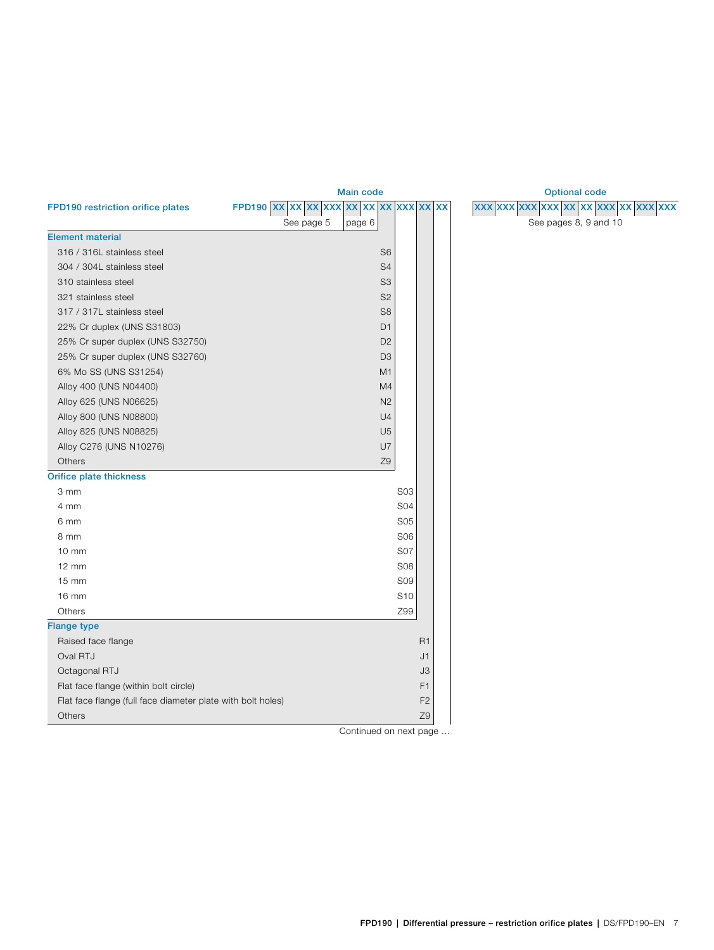<span id="page-6-0"></span>

|                                                             | <b>Main code</b>                  |                 |                | <b>Optional code</b>           |
|-------------------------------------------------------------|-----------------------------------|-----------------|----------------|--------------------------------|
| FPD190 restriction orifice plates                           | FPD190 XX XX XX XX XX XX XX XX XX |                 |                | <b>XXX XXX XXX XXX XXX XXX</b> |
|                                                             | See page 5<br>page 6              |                 |                | See pages 8, 9 and             |
| <b>Element material</b>                                     |                                   |                 |                |                                |
| 316 / 316L stainless steel                                  | S <sub>6</sub>                    |                 |                |                                |
| 304 / 304L stainless steel                                  | S <sub>4</sub>                    |                 |                |                                |
| 310 stainless steel                                         | S <sub>3</sub>                    |                 |                |                                |
| 321 stainless steel                                         | S <sub>2</sub>                    |                 |                |                                |
| 317 / 317L stainless steel                                  | S <sub>8</sub>                    |                 |                |                                |
| 22% Cr duplex (UNS S31803)                                  | D <sub>1</sub>                    |                 |                |                                |
| 25% Cr super duplex (UNS S32750)                            | D <sub>2</sub>                    |                 |                |                                |
| 25% Cr super duplex (UNS S32760)                            | D <sub>3</sub>                    |                 |                |                                |
| 6% Mo SS (UNS S31254)                                       | M <sub>1</sub>                    |                 |                |                                |
| Alloy 400 (UNS N04400)                                      | M4                                |                 |                |                                |
| Alloy 625 (UNS N06625)                                      | N <sub>2</sub>                    |                 |                |                                |
| Alloy 800 (UNS N08800)                                      | U4                                |                 |                |                                |
| Alloy 825 (UNS N08825)                                      | U <sub>5</sub>                    |                 |                |                                |
| Alloy C276 (UNS N10276)                                     | U7                                |                 |                |                                |
| Others                                                      | Z <sub>9</sub>                    |                 |                |                                |
| Orifice plate thickness                                     |                                   |                 |                |                                |
| 3 mm                                                        |                                   | <b>S03</b>      |                |                                |
| 4 mm                                                        |                                   | <b>S04</b>      |                |                                |
| 6 mm                                                        |                                   | <b>S05</b>      |                |                                |
| 8 mm                                                        |                                   | <b>S06</b>      |                |                                |
| $10 \text{ mm}$                                             |                                   | S07             |                |                                |
| $12 \text{ mm}$                                             |                                   | <b>S08</b>      |                |                                |
| 15 mm                                                       |                                   | <b>S09</b>      |                |                                |
| 16 mm                                                       |                                   | S <sub>10</sub> |                |                                |
| Others                                                      |                                   | Z99             |                |                                |
| <b>Flange type</b>                                          |                                   |                 |                |                                |
| Raised face flange                                          |                                   |                 | R1             |                                |
| Oval RTJ                                                    |                                   |                 | J1             |                                |
| Octagonal RTJ                                               |                                   |                 | J3             |                                |
| Flat face flange (within bolt circle)                       |                                   |                 | F1             |                                |
| Flat face flange (full face diameter plate with bolt holes) |                                   |                 | F <sub>2</sub> |                                |
| Others                                                      |                                   |                 | Z <sub>9</sub> |                                |

See pages [8,](#page-7-0) [9](#page-8-0) and [10](#page-9-0)  $\boldsymbol{\mathrm{x}}$  xxx  $\boldsymbol{\mathrm{x}}$  xxx  $\boldsymbol{\mathrm{x}}$  xx  $\boldsymbol{\mathrm{x}}$  xx  $\boldsymbol{\mathrm{x}}$  xx  $\boldsymbol{\mathrm{x}}$  xx  $\boldsymbol{\mathrm{x}}$  xx  $\boldsymbol{\mathrm{x}}$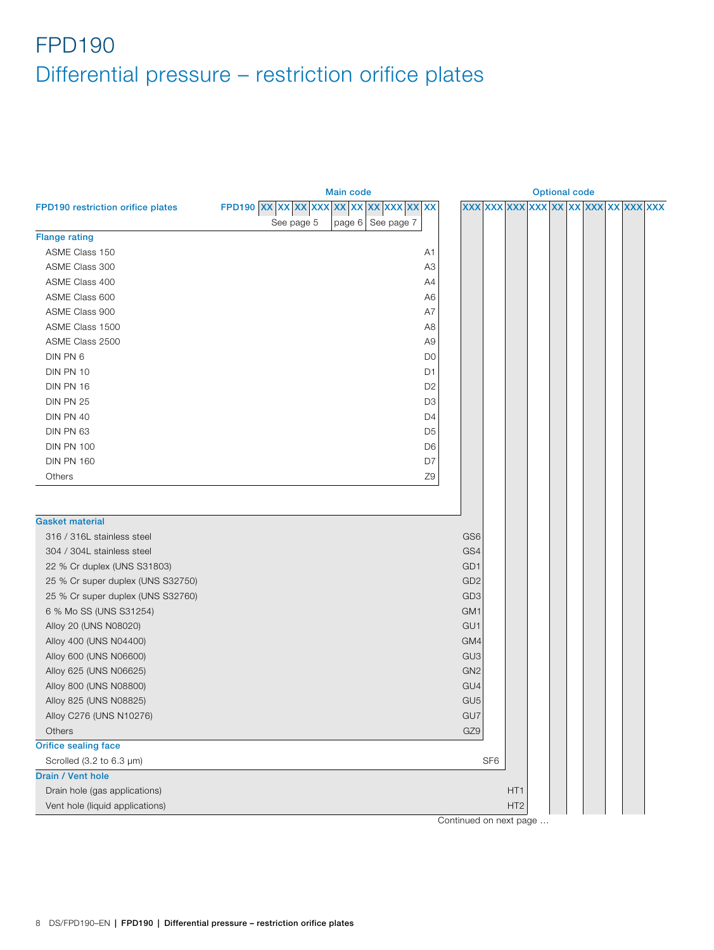<span id="page-7-0"></span>

|                                   | <b>Main code</b>                     | <b>Optional code</b> |                                      |                 |  |  |  |  |  |  |  |  |
|-----------------------------------|--------------------------------------|----------------------|--------------------------------------|-----------------|--|--|--|--|--|--|--|--|
| FPD190 restriction orifice plates | FPD190 XX XX XX XX XX XX XX XX XX XX |                      | XXX XXX XXX XXX XX XX XX XXX XXX XXX |                 |  |  |  |  |  |  |  |  |
|                                   | See page 5                           | page 6 See page 7    |                                      |                 |  |  |  |  |  |  |  |  |
| <b>Flange rating</b>              |                                      |                      |                                      |                 |  |  |  |  |  |  |  |  |
| ASME Class 150                    |                                      | A1                   |                                      |                 |  |  |  |  |  |  |  |  |
| ASME Class 300                    |                                      | A <sub>3</sub>       |                                      |                 |  |  |  |  |  |  |  |  |
| ASME Class 400                    |                                      | A4                   |                                      |                 |  |  |  |  |  |  |  |  |
| ASME Class 600                    |                                      | A6                   |                                      |                 |  |  |  |  |  |  |  |  |
| ASME Class 900                    |                                      | A7                   |                                      |                 |  |  |  |  |  |  |  |  |
| ASME Class 1500                   |                                      | A <sub>8</sub>       |                                      |                 |  |  |  |  |  |  |  |  |
| ASME Class 2500                   |                                      | A9                   |                                      |                 |  |  |  |  |  |  |  |  |
| DIN PN 6                          |                                      | D <sub>0</sub>       |                                      |                 |  |  |  |  |  |  |  |  |
| DIN PN 10                         |                                      | D <sub>1</sub>       |                                      |                 |  |  |  |  |  |  |  |  |
| DIN PN 16                         |                                      | D <sub>2</sub>       |                                      |                 |  |  |  |  |  |  |  |  |
| <b>DIN PN 25</b>                  |                                      | D <sub>3</sub>       |                                      |                 |  |  |  |  |  |  |  |  |
| DIN PN 40                         |                                      | D <sub>4</sub>       |                                      |                 |  |  |  |  |  |  |  |  |
| DIN PN 63                         |                                      | D <sub>5</sub>       |                                      |                 |  |  |  |  |  |  |  |  |
| <b>DIN PN 100</b>                 |                                      | D <sub>6</sub>       |                                      |                 |  |  |  |  |  |  |  |  |
| <b>DIN PN 160</b>                 |                                      | D7                   |                                      |                 |  |  |  |  |  |  |  |  |
| Others                            |                                      | Z9                   |                                      |                 |  |  |  |  |  |  |  |  |
|                                   |                                      |                      |                                      |                 |  |  |  |  |  |  |  |  |
|                                   |                                      |                      |                                      |                 |  |  |  |  |  |  |  |  |
| <b>Gasket material</b>            |                                      |                      |                                      |                 |  |  |  |  |  |  |  |  |
| 316 / 316L stainless steel        |                                      |                      | GS <sub>6</sub>                      |                 |  |  |  |  |  |  |  |  |
| 304 / 304L stainless steel        |                                      |                      | GS4                                  |                 |  |  |  |  |  |  |  |  |
| 22 % Cr duplex (UNS S31803)       |                                      |                      | GD1                                  |                 |  |  |  |  |  |  |  |  |
| 25 % Cr super duplex (UNS S32750) |                                      |                      | GD <sub>2</sub>                      |                 |  |  |  |  |  |  |  |  |
| 25 % Cr super duplex (UNS S32760) |                                      |                      | GD <sub>3</sub>                      |                 |  |  |  |  |  |  |  |  |
| 6 % Mo SS (UNS S31254)            |                                      |                      | GM1                                  |                 |  |  |  |  |  |  |  |  |
| Alloy 20 (UNS N08020)             |                                      |                      | GU1                                  |                 |  |  |  |  |  |  |  |  |
| Alloy 400 (UNS N04400)            |                                      |                      | GM4                                  |                 |  |  |  |  |  |  |  |  |
| Alloy 600 (UNS N06600)            |                                      |                      | GU <sub>3</sub>                      |                 |  |  |  |  |  |  |  |  |
| Alloy 625 (UNS N06625)            |                                      |                      | GN <sub>2</sub>                      |                 |  |  |  |  |  |  |  |  |
| Alloy 800 (UNS N08800)            |                                      |                      | GU4                                  |                 |  |  |  |  |  |  |  |  |
| Alloy 825 (UNS N08825)            |                                      |                      | GU <sub>5</sub>                      |                 |  |  |  |  |  |  |  |  |
| Alloy C276 (UNS N10276)           |                                      |                      | GU7                                  |                 |  |  |  |  |  |  |  |  |
| Others                            |                                      |                      | GZ9                                  |                 |  |  |  |  |  |  |  |  |
| <b>Orifice sealing face</b>       |                                      |                      |                                      |                 |  |  |  |  |  |  |  |  |
| Scrolled (3.2 to 6.3 $\mu$ m)     |                                      |                      | SF <sub>6</sub>                      |                 |  |  |  |  |  |  |  |  |
| Drain / Vent hole                 |                                      |                      |                                      |                 |  |  |  |  |  |  |  |  |
| Drain hole (gas applications)     |                                      |                      |                                      | HT1             |  |  |  |  |  |  |  |  |
| Vent hole (liquid applications)   |                                      |                      |                                      | HT <sub>2</sub> |  |  |  |  |  |  |  |  |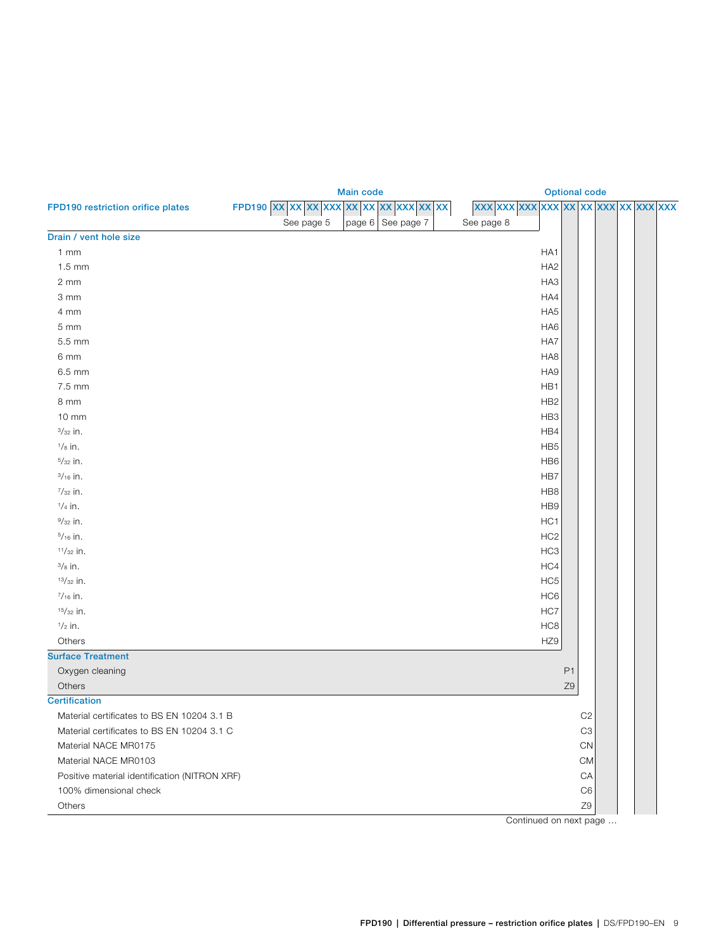<span id="page-8-0"></span>

|                                               | <b>Main code</b>    |              |              |                                     | <b>Optional code</b> |                |                |  |  |  |  |  |  |  |
|-----------------------------------------------|---------------------|--------------|--------------|-------------------------------------|----------------------|----------------|----------------|--|--|--|--|--|--|--|
| FPD190 restriction orifice plates             | FPD190 XX XX XX XXX | <b>XX XX</b> | XX XXX XX XX | xxx xxx xxx xxx xx xx xx xxx xx xxx |                      |                |                |  |  |  |  |  |  |  |
|                                               | See page 5          | page 6       | See page 7   | See page 8                          |                      |                |                |  |  |  |  |  |  |  |
| Drain / vent hole size                        |                     |              |              |                                     |                      |                |                |  |  |  |  |  |  |  |
| $1 \, \text{mm}$                              |                     |              |              |                                     | HA <sub>1</sub>      |                |                |  |  |  |  |  |  |  |
| $1.5$ mm                                      |                     |              |              |                                     | HA <sub>2</sub>      |                |                |  |  |  |  |  |  |  |
| 2 mm                                          |                     |              |              |                                     | HA3                  |                |                |  |  |  |  |  |  |  |
| 3 mm                                          |                     |              |              |                                     | HA4                  |                |                |  |  |  |  |  |  |  |
| 4 mm                                          |                     |              |              |                                     | HA <sub>5</sub>      |                |                |  |  |  |  |  |  |  |
| 5 mm                                          |                     |              |              |                                     | HA6                  |                |                |  |  |  |  |  |  |  |
| 5.5 mm                                        |                     |              |              |                                     | HA7                  |                |                |  |  |  |  |  |  |  |
| 6 mm                                          |                     |              |              |                                     | HA8                  |                |                |  |  |  |  |  |  |  |
| 6.5 mm                                        |                     |              |              |                                     | HA9                  |                |                |  |  |  |  |  |  |  |
| 7.5 mm                                        |                     |              |              |                                     | HB1                  |                |                |  |  |  |  |  |  |  |
| 8 mm                                          |                     |              |              |                                     | HB <sub>2</sub>      |                |                |  |  |  |  |  |  |  |
| 10 mm                                         |                     |              |              |                                     | HB3                  |                |                |  |  |  |  |  |  |  |
| $3/32$ in.                                    |                     |              |              |                                     | HB4                  |                |                |  |  |  |  |  |  |  |
| $1/s$ in.                                     |                     |              |              |                                     | HB <sub>5</sub>      |                |                |  |  |  |  |  |  |  |
| $5/32$ in.                                    |                     |              |              |                                     | HB <sub>6</sub>      |                |                |  |  |  |  |  |  |  |
| $3/16$ in.                                    |                     |              |              |                                     | HB7                  |                |                |  |  |  |  |  |  |  |
| $^{7}/_{32}$ in.                              |                     |              |              |                                     | HB8                  |                |                |  |  |  |  |  |  |  |
| $1/4$ in.                                     |                     |              |              |                                     | HB9                  |                |                |  |  |  |  |  |  |  |
| $9/32$ in.                                    |                     |              |              |                                     | HC1                  |                |                |  |  |  |  |  |  |  |
| $5/16$ in.                                    |                     |              |              |                                     | HC <sub>2</sub>      |                |                |  |  |  |  |  |  |  |
| $11/32$ in.                                   |                     |              |              |                                     | HC <sub>3</sub>      |                |                |  |  |  |  |  |  |  |
| $3/8$ in.                                     |                     |              |              |                                     | HC4                  |                |                |  |  |  |  |  |  |  |
| $13/32$ in.                                   |                     |              |              |                                     | HC <sub>5</sub>      |                |                |  |  |  |  |  |  |  |
| $\frac{7}{16}$ in.                            |                     |              |              |                                     | HC <sub>6</sub>      |                |                |  |  |  |  |  |  |  |
| $15/32$ in.                                   |                     |              |              |                                     | HC7                  |                |                |  |  |  |  |  |  |  |
| $\frac{1}{2}$ in.                             |                     |              |              |                                     | HC <sub>8</sub>      |                |                |  |  |  |  |  |  |  |
| Others                                        |                     |              |              |                                     | HZ9                  |                |                |  |  |  |  |  |  |  |
| <b>Surface Treatment</b>                      |                     |              |              |                                     |                      |                |                |  |  |  |  |  |  |  |
| Oxygen cleaning                               |                     |              |              |                                     |                      | P <sub>1</sub> |                |  |  |  |  |  |  |  |
| Others                                        |                     |              |              |                                     |                      | Z9             |                |  |  |  |  |  |  |  |
| Certification                                 |                     |              |              |                                     |                      |                |                |  |  |  |  |  |  |  |
| Material certificates to BS EN 10204 3.1 B    |                     |              |              |                                     |                      |                | C <sub>2</sub> |  |  |  |  |  |  |  |
| Material certificates to BS EN 10204 3.1 C    |                     |              |              |                                     |                      |                | C3             |  |  |  |  |  |  |  |
| Material NACE MR0175                          |                     |              |              |                                     |                      |                | ${\sf CN}$     |  |  |  |  |  |  |  |
| Material NACE MR0103                          |                     |              |              |                                     |                      |                | <b>CM</b>      |  |  |  |  |  |  |  |
| Positive material identification (NITRON XRF) |                     |              |              |                                     |                      |                | CA             |  |  |  |  |  |  |  |
| 100% dimensional check                        |                     |              |              |                                     |                      |                | C <sub>6</sub> |  |  |  |  |  |  |  |
| Others                                        |                     |              |              |                                     |                      |                | Z9             |  |  |  |  |  |  |  |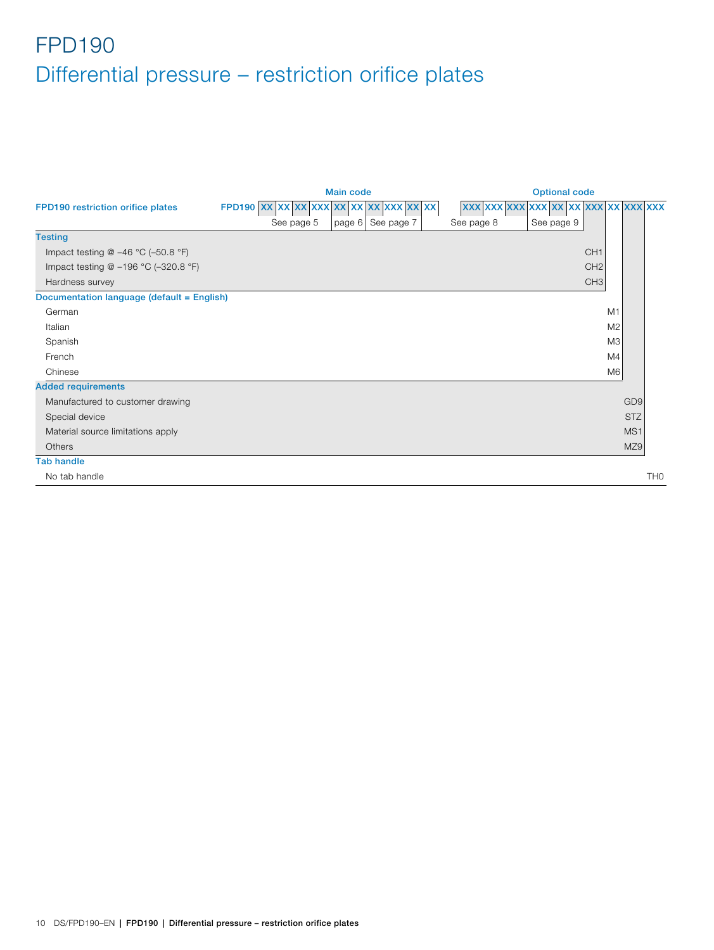<span id="page-9-0"></span>

|                                            | <b>Main code</b>                                  | <b>Optional code</b>                           |
|--------------------------------------------|---------------------------------------------------|------------------------------------------------|
| FPD190 restriction orifice plates          | XX XX XX XX XX XX XX XX XX XX<br><b>FPD190 XX</b> | XXX XX XX XXX XX XXX XXX<br><b>XXX XXX XXX</b> |
|                                            | page 6 See page 7<br>See page 5                   | See page 8<br>See page 9                       |
| <b>Testing</b>                             |                                                   |                                                |
| Impact testing $@ -46 °C (-50.8 °F)$       |                                                   | CH <sub>1</sub>                                |
| Impact testing @ -196 °C (-320.8 °F)       |                                                   | CH <sub>2</sub>                                |
| Hardness survey                            |                                                   | CH <sub>3</sub>                                |
| Documentation language (default = English) |                                                   |                                                |
| German                                     |                                                   | M1                                             |
| Italian                                    |                                                   | M <sub>2</sub>                                 |
| Spanish                                    |                                                   | M <sub>3</sub>                                 |
| French                                     |                                                   | M4                                             |
| Chinese                                    |                                                   | M6                                             |
| <b>Added requirements</b>                  |                                                   |                                                |
| Manufactured to customer drawing           |                                                   | GD <sub>9</sub>                                |
| Special device                             |                                                   | <b>STZ</b>                                     |
| Material source limitations apply          |                                                   | MS <sub>1</sub>                                |
| Others                                     |                                                   | MZ9                                            |
| <b>Tab handle</b>                          |                                                   |                                                |
| No tab handle                              |                                                   | TH <sub>0</sub>                                |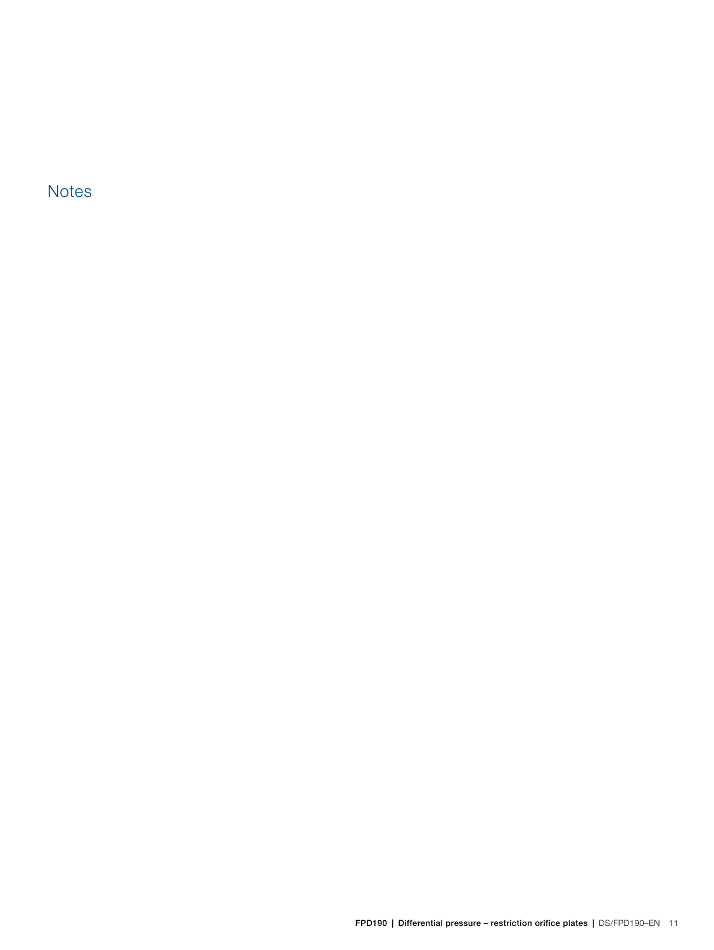**Notes**